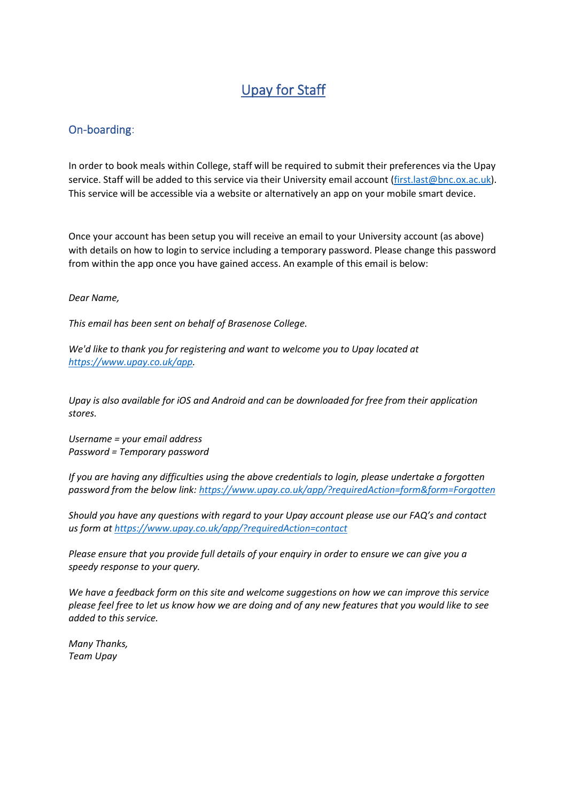# Upay for Staff

### On-boarding:

In order to book meals within College, staff will be required to submit their preferences via the Upay service. Staff will be added to this service via their University email account [\(first.last@bnc.ox.ac.uk\)](mailto:first.last@bnc.ox.ac.uk). This service will be accessible via a website or alternatively an app on your mobile smart device.

Once your account has been setup you will receive an email to your University account (as above) with details on how to login to service including a temporary password. Please change this password from within the app once you have gained access. An example of this email is below:

#### *Dear Name,*

*This email has been sent on behalf of Brasenose College.*

*We'd like to thank you for registering and want to welcome you to Upay located at [https://www.upay.co.uk/app.](https://www.upay.co.uk/app)*

*Upay is also available for iOS and Android and can be downloaded for free from their application stores.*

*Username = your email address Password = Temporary password*

*If you are having any difficulties using the above credentials to login, please undertake a forgotten password from the below link:<https://www.upay.co.uk/app/?requiredAction=form&form=Forgotten>*

*Should you have any questions with regard to your Upay account please use our FAQ's and contact us form at<https://www.upay.co.uk/app/?requiredAction=contact>*

*Please ensure that you provide full details of your enquiry in order to ensure we can give you a speedy response to your query.*

*We have a feedback form on this site and welcome suggestions on how we can improve this service please feel free to let us know how we are doing and of any new features that you would like to see added to this service.*

*Many Thanks, Team Upay*